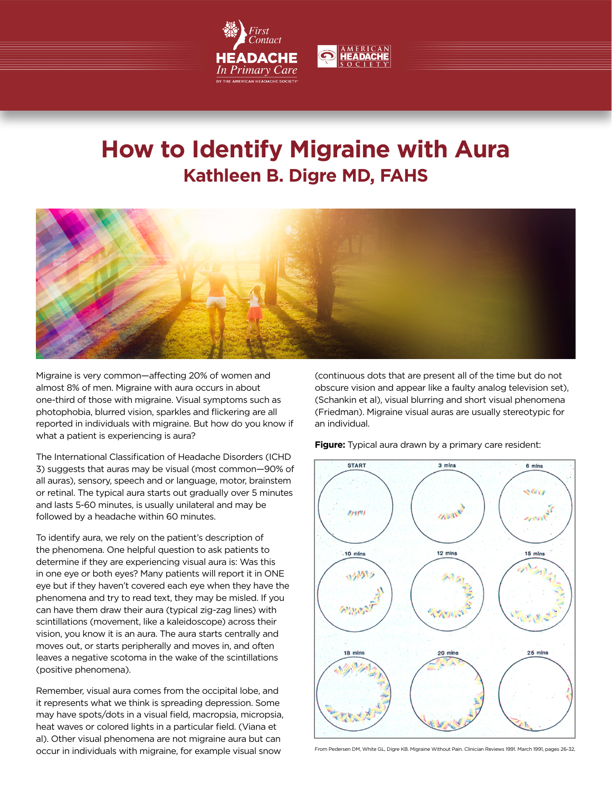



# **How to Identify Migraine with Aura Kathleen B. Digre MD, FAHS**



Migraine is very common—affecting 20% of women and almost 8% of men. Migraine with aura occurs in about one-third of those with migraine. Visual symptoms such as photophobia, blurred vision, sparkles and flickering are all reported in individuals with migraine. But how do you know if what a patient is experiencing is aura?

The International Classification of Headache Disorders (ICHD 3) suggests that auras may be visual (most common—90% of all auras), sensory, speech and or language, motor, brainstem or retinal. The typical aura starts out gradually over 5 minutes and lasts 5-60 minutes, is usually unilateral and may be followed by a headache within 60 minutes.

To identify aura, we rely on the patient's description of the phenomena. One helpful question to ask patients to determine if they are experiencing visual aura is: Was this in one eye or both eyes? Many patients will report it in ONE eye but if they haven't covered each eye when they have the phenomena and try to read text, they may be misled. If you can have them draw their aura (typical zig-zag lines) with scintillations (movement, like a kaleidoscope) across their vision, you know it is an aura. The aura starts centrally and moves out, or starts peripherally and moves in, and often leaves a negative scotoma in the wake of the scintillations (positive phenomena).

Remember, visual aura comes from the occipital lobe, and it represents what we think is spreading depression. Some may have spots/dots in a visual field, macropsia, micropsia, heat waves or colored lights in a particular field. (Viana et al). Other visual phenomena are not migraine aura but can occur in individuals with migraine, for example visual snow

(continuous dots that are present all of the time but do not obscure vision and appear like a faulty analog television set), (Schankin et al), visual blurring and short visual phenomena (Friedman). Migraine visual auras are usually stereotypic for an individual.

**Figure:** Typical aura drawn by a primary care resident:



From Pedersen DM, White GL, Digre KB. Migraine Without Pain. Clinician Reviews 1991. March 1991, pages 26-32,